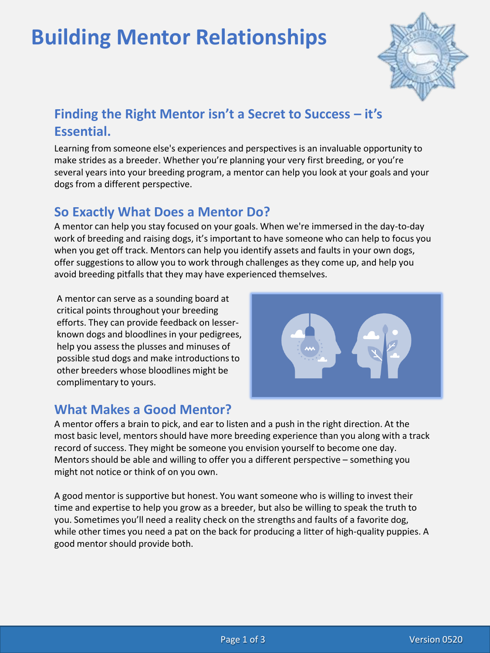# **Building Mentor Relationships**



# **Finding the Right Mentor isn't a Secret to Success – it's Essential.**

Learning from someone else's experiences and perspectives is an invaluable opportunity to make strides as a breeder. Whether you're planning your very first breeding, or you're several years into your breeding program, a mentor can help you look at your goals and your dogs from a different perspective.

## **So Exactly What Does a Mentor Do?**

A mentor can help you stay focused on your goals. When we're immersed in the day-to-day work of breeding and raising dogs, it's important to have someone who can help to focus you when you get off track. Mentors can help you identify assets and faults in your own dogs, offer suggestions to allow you to work through challenges as they come up, and help you avoid breeding pitfalls that they may have experienced themselves.

A mentor can serve as a sounding board at critical points throughout your breeding efforts. They can provide feedback on lesserknown dogs and bloodlines in your pedigrees, help you assess the plusses and minuses of possible stud dogs and make introductions to other breeders whose bloodlines might be complimentary to yours.



#### **What Makes a Good Mentor?**

A mentor offers a brain to pick, and ear to listen and a push in the right direction. At the most basic level, mentors should have more breeding experience than you along with a track record of success. They might be someone you envision yourself to become one day. Mentors should be able and willing to offer you a different perspective – something you might not notice or think of on you own.

A good mentor is supportive but honest. You want someone who is willing to invest their time and expertise to help you grow as a breeder, but also be willing to speak the truth to you. Sometimes you'll need a reality check on the strengths and faults of a favorite dog, while other times you need a pat on the back for producing a litter of high-quality puppies. A good mentor should provide both.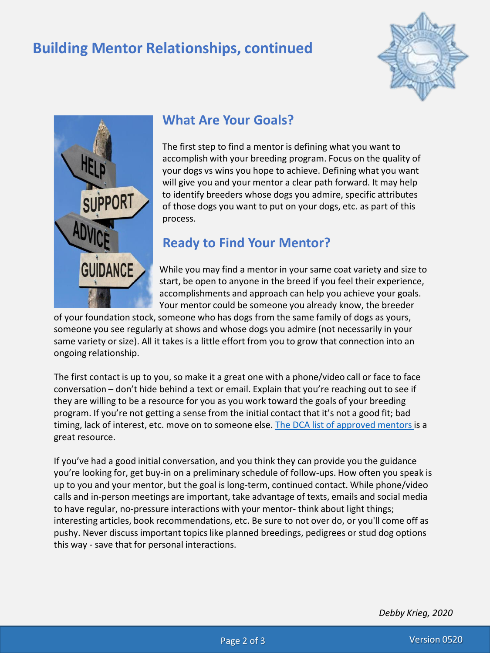# **Building Mentor Relationships, continued**





#### **What Are Your Goals?**

The first step to find a mentor is defining what you want to accomplish with your breeding program. Focus on the quality of your dogs vs wins you hope to achieve. Defining what you want will give you and your mentor a clear path forward. It may help to identify breeders whose dogs you admire, specific attributes of those dogs you want to put on your dogs, etc. as part of this process.

## **Ready to Find Your Mentor?**

While you may find a mentor in your same coat variety and size to start, be open to anyone in the breed if you feel their experience, accomplishments and approach can help you achieve your goals. Your mentor could be someone you already know, the breeder

of your foundation stock, someone who has dogs from the same family of dogs as yours, someone you see regularly at shows and whose dogs you admire (not necessarily in your same variety or size). All it takes is a little effort from you to grow that connection into an ongoing relationship.

The first contact is up to you, so make it a great one with a phone/video call or face to face conversation – don't hide behind a text or email. Explain that you're reaching out to see if they are willing to be a resource for you as you work toward the goals of your breeding program. If you're not getting a sense from the initial contact that it's not a good fit; bad timing, lack of interest, etc. move on to someone else. [The DCA list of approved mentors](http://www.dachshundclubofamerica.org/wp-content/uploads/2014/02/Mentors-2022.pdf) is a great resource.

If you've had a good initial conversation, and you think they can provide you the guidance you're looking for, get buy-in on a preliminary schedule of follow-ups. How often you speak is up to you and your mentor, but the goal is long-term, continued contact. While phone/video calls and in-person meetings are important, take advantage of texts, emails and social media to have regular, no-pressure interactions with your mentor- think about light things; interesting articles, book recommendations, etc. Be sure to not over do, or you'll come off as pushy. Never discuss important topics like planned breedings, pedigrees or stud dog options this way - save that for personal interactions.

*Debby Krieg, 2020*